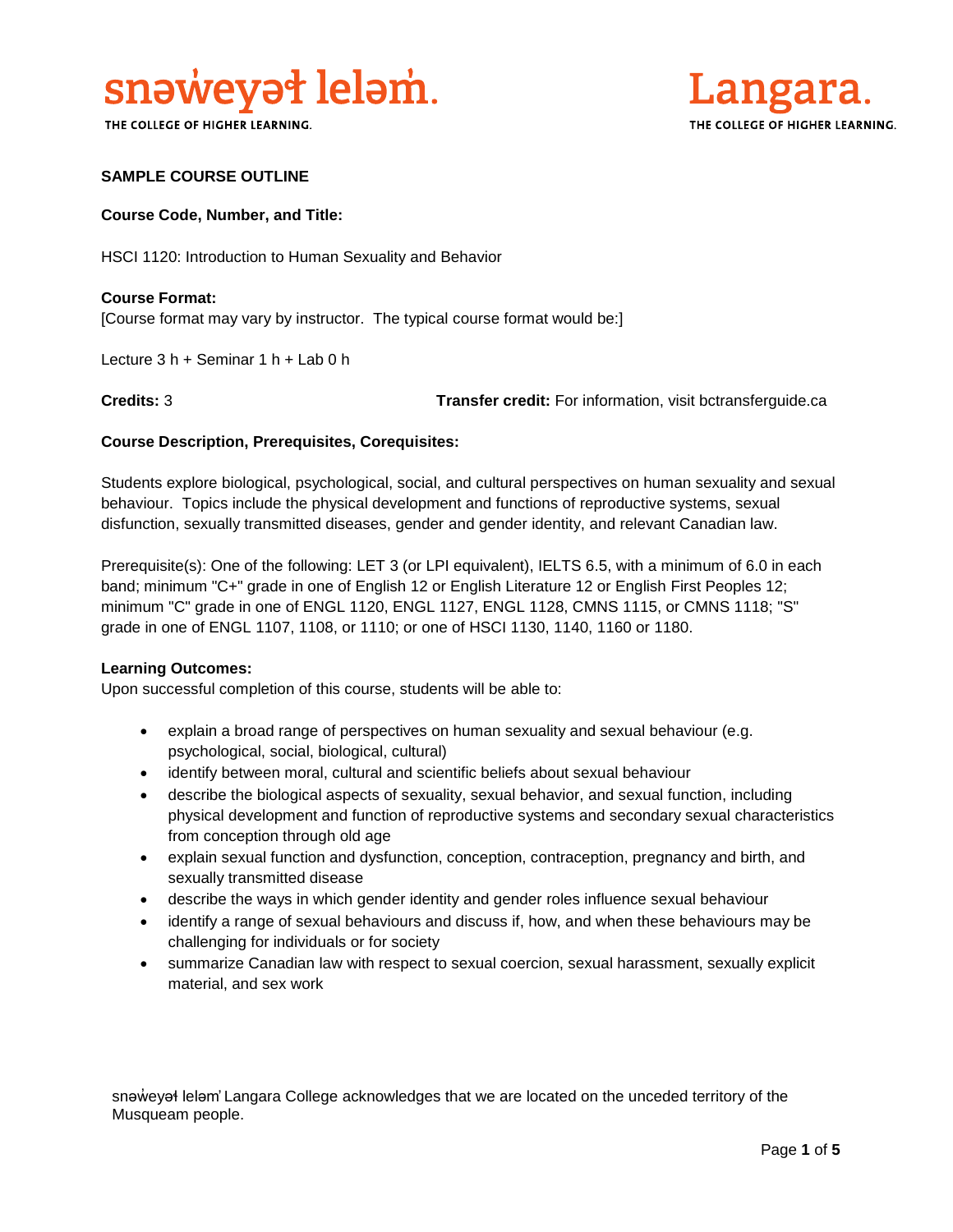

THE COLLEGE OF HIGHER LEARNING.



# **SAMPLE COURSE OUTLINE**

### **Course Code, Number, and Title:**

HSCI 1120: Introduction to Human Sexuality and Behavior

# **Course Format:** [Course format may vary by instructor. The typical course format would be:]

Lecture 3 h + Seminar 1 h + Lab 0 h

**Credits:** 3 **Transfer credit:** For information, visit bctransferguide.ca

### **Course Description, Prerequisites, Corequisites:**

Students explore biological, psychological, social, and cultural perspectives on human sexuality and sexual behaviour. Topics include the physical development and functions of reproductive systems, sexual disfunction, sexually transmitted diseases, gender and gender identity, and relevant Canadian law.

Prerequisite(s): One of the following: LET 3 (or LPI equivalent), IELTS 6.5, with a minimum of 6.0 in each band; minimum "C+" grade in one of English 12 or English Literature 12 or English First Peoples 12; minimum "C" grade in one of ENGL 1120, ENGL 1127, ENGL 1128, CMNS 1115, or CMNS 1118; "S" grade in one of ENGL 1107, 1108, or 1110; or one of HSCI 1130, 1140, 1160 or 1180.

#### **Learning Outcomes:**

Upon successful completion of this course, students will be able to:

- explain a broad range of perspectives on human sexuality and sexual behaviour (e.g. psychological, social, biological, cultural)
- identify between moral, cultural and scientific beliefs about sexual behaviour
- describe the biological aspects of sexuality, sexual behavior, and sexual function, including physical development and function of reproductive systems and secondary sexual characteristics from conception through old age
- explain sexual function and dysfunction, conception, contraception, pregnancy and birth, and sexually transmitted disease
- describe the ways in which gender identity and gender roles influence sexual behaviour
- identify a range of sexual behaviours and discuss if, how, and when these behaviours may be challenging for individuals or for society
- summarize Canadian law with respect to sexual coercion, sexual harassment, sexually explicit material, and sex work

snəwey Heləm' Langara College acknowledges that we are located on the unceded territory of the Musqueam people.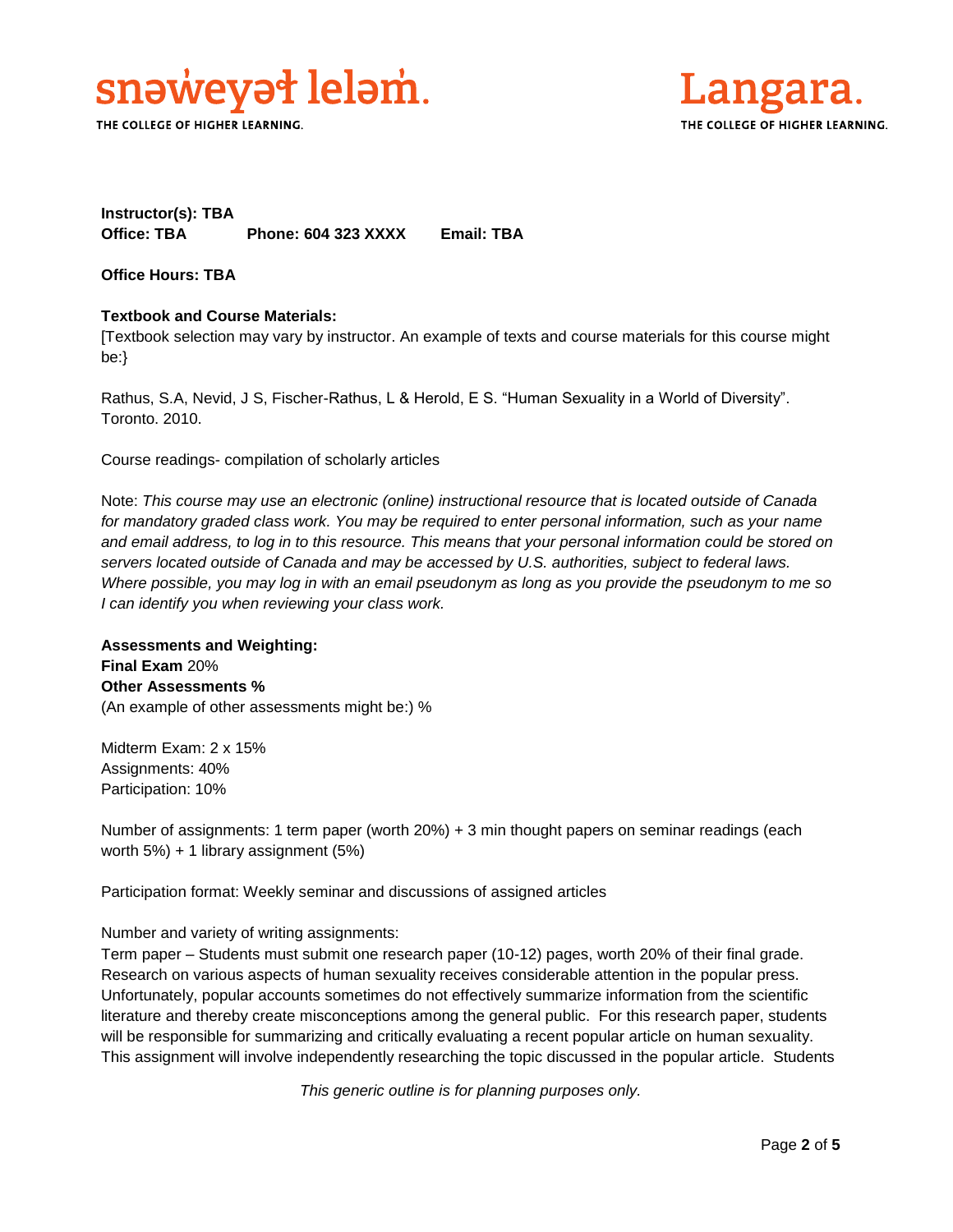

THE COLLEGE OF HIGHER LEARNING.



# **Instructor(s): TBA Office: TBA Phone: 604 323 XXXX Email: TBA**

**Office Hours: TBA** 

# **Textbook and Course Materials:**

[Textbook selection may vary by instructor. An example of texts and course materials for this course might be:}

Rathus, S.A, Nevid, J S, Fischer-Rathus, L & Herold, E S. "Human Sexuality in a World of Diversity". Toronto. 2010.

Course readings- compilation of scholarly articles

Note: *This course may use an electronic (online) instructional resource that is located outside of Canada*  for mandatory graded class work. You may be required to enter personal information, such as your name *and email address, to log in to this resource. This means that your personal information could be stored on servers located outside of Canada and may be accessed by U.S. authorities, subject to federal laws. Where possible, you may log in with an email pseudonym as long as you provide the pseudonym to me so I can identify you when reviewing your class work.* 

**Assessments and Weighting: Final Exam** 20% **Other Assessments %** (An example of other assessments might be:) %

Midterm Exam: 2 x 15% Assignments: 40% Participation: 10%

Number of assignments: 1 term paper (worth 20%) + 3 min thought papers on seminar readings (each worth 5%) + 1 library assignment (5%)

Participation format: Weekly seminar and discussions of assigned articles

Number and variety of writing assignments:

Term paper – Students must submit one research paper (10-12) pages, worth 20% of their final grade. Research on various aspects of human sexuality receives considerable attention in the popular press. Unfortunately, popular accounts sometimes do not effectively summarize information from the scientific literature and thereby create misconceptions among the general public. For this research paper, students will be responsible for summarizing and critically evaluating a recent popular article on human sexuality. This assignment will involve independently researching the topic discussed in the popular article. Students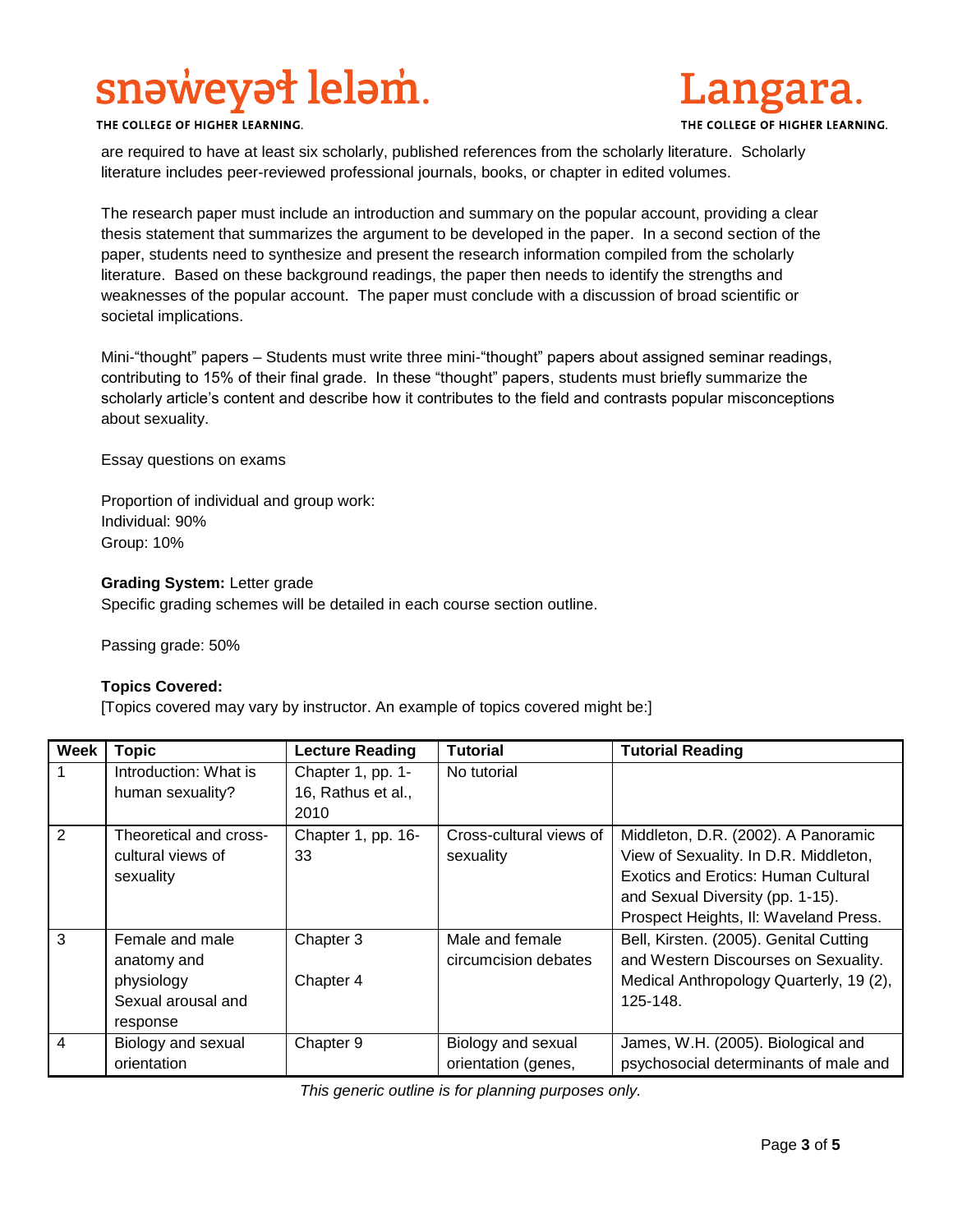# snəweyət leləm.



THE COLLEGE OF HIGHER LEARNING.

are required to have at least six scholarly, published references from the scholarly literature. Scholarly literature includes peer-reviewed professional journals, books, or chapter in edited volumes.

The research paper must include an introduction and summary on the popular account, providing a clear thesis statement that summarizes the argument to be developed in the paper. In a second section of the paper, students need to synthesize and present the research information compiled from the scholarly literature. Based on these background readings, the paper then needs to identify the strengths and weaknesses of the popular account. The paper must conclude with a discussion of broad scientific or societal implications.

Mini-"thought" papers – Students must write three mini-"thought" papers about assigned seminar readings, contributing to 15% of their final grade. In these "thought" papers, students must briefly summarize the scholarly article's content and describe how it contributes to the field and contrasts popular misconceptions about sexuality.

Essay questions on exams

Proportion of individual and group work: Individual: 90% Group: 10%

## **Grading System:** Letter grade

Specific grading schemes will be detailed in each course section outline.

Passing grade: 50%

## **Topics Covered:**

[Topics covered may vary by instructor. An example of topics covered might be:]

| <b>Week</b>    | <b>Topic</b>           | <b>Lecture Reading</b> | <b>Tutorial</b>         | <b>Tutorial Reading</b>                    |
|----------------|------------------------|------------------------|-------------------------|--------------------------------------------|
|                | Introduction: What is  | Chapter 1, pp. 1-      | No tutorial             |                                            |
|                | human sexuality?       | 16, Rathus et al.,     |                         |                                            |
|                |                        | 2010                   |                         |                                            |
| $\overline{2}$ | Theoretical and cross- | Chapter 1, pp. 16-     | Cross-cultural views of | Middleton, D.R. (2002). A Panoramic        |
|                | cultural views of      | 33                     | sexuality               | View of Sexuality. In D.R. Middleton,      |
|                | sexuality              |                        |                         | <b>Exotics and Erotics: Human Cultural</b> |
|                |                        |                        |                         | and Sexual Diversity (pp. 1-15).           |
|                |                        |                        |                         | Prospect Heights, II: Waveland Press.      |
| 3              | Female and male        | Chapter 3              | Male and female         | Bell, Kirsten. (2005). Genital Cutting     |
|                | anatomy and            |                        | circumcision debates    | and Western Discourses on Sexuality.       |
|                | physiology             | Chapter 4              |                         | Medical Anthropology Quarterly, 19 (2),    |
|                | Sexual arousal and     |                        |                         | 125-148.                                   |
|                | response               |                        |                         |                                            |
| 4              | Biology and sexual     | Chapter 9              | Biology and sexual      | James, W.H. (2005). Biological and         |
|                | orientation            |                        | orientation (genes,     | psychosocial determinants of male and      |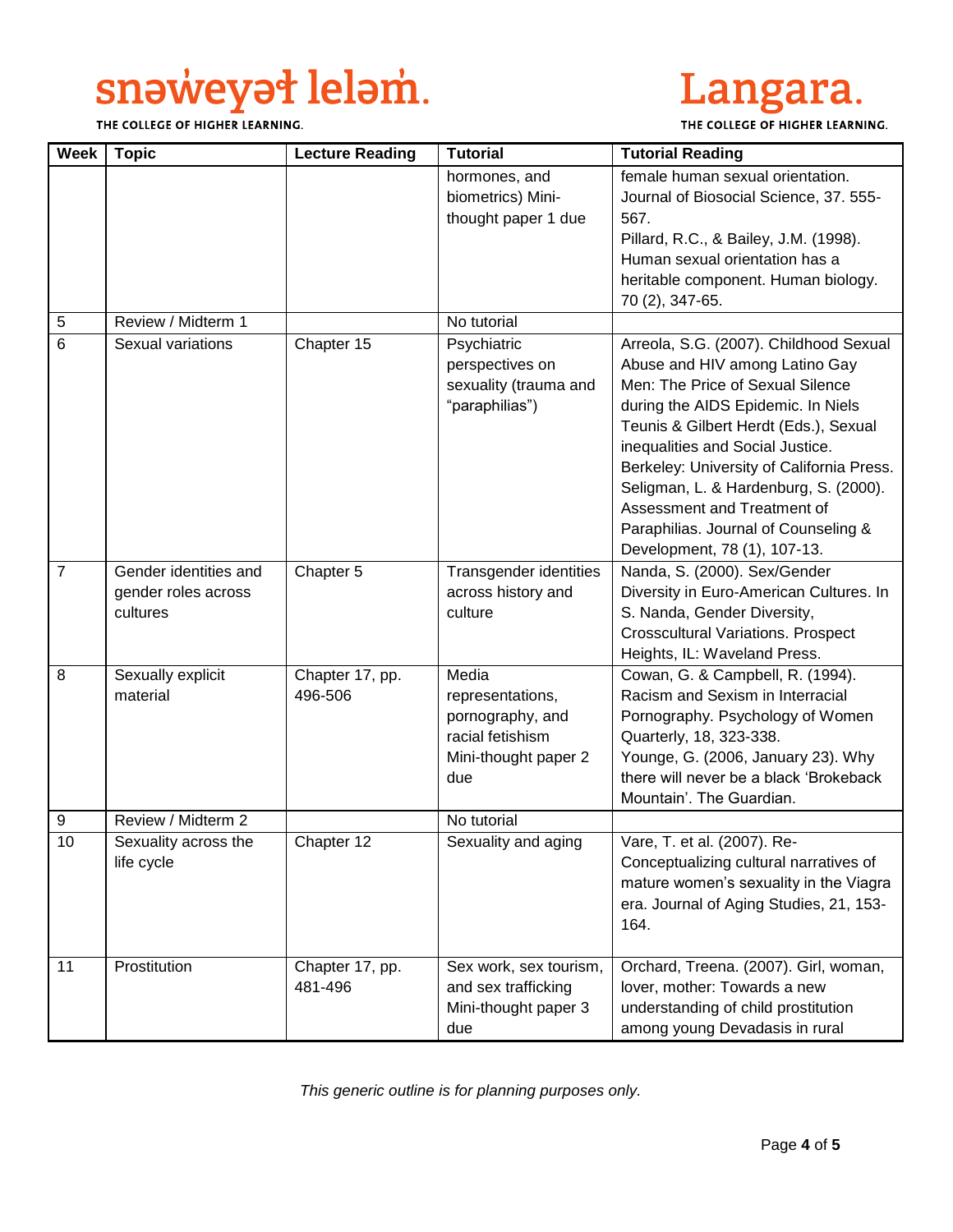# snaweyał lelam.

THE COLLEGE OF HIGHER LEARNING.



THE COLLEGE OF HIGHER LEARNING.

| <b>Week</b>    | <b>Topic</b>                                             | <b>Lecture Reading</b>     | <b>Tutorial</b>                                                                                  | <b>Tutorial Reading</b>                                                                                                                                                                                                                                                                                                                                                                                                      |
|----------------|----------------------------------------------------------|----------------------------|--------------------------------------------------------------------------------------------------|------------------------------------------------------------------------------------------------------------------------------------------------------------------------------------------------------------------------------------------------------------------------------------------------------------------------------------------------------------------------------------------------------------------------------|
|                |                                                          |                            | hormones, and<br>biometrics) Mini-<br>thought paper 1 due                                        | female human sexual orientation.<br>Journal of Biosocial Science, 37. 555-<br>567.<br>Pillard, R.C., & Bailey, J.M. (1998).<br>Human sexual orientation has a<br>heritable component. Human biology.<br>70 (2), 347-65.                                                                                                                                                                                                      |
| 5              | Review / Midterm 1                                       |                            | No tutorial                                                                                      |                                                                                                                                                                                                                                                                                                                                                                                                                              |
| 6              | Sexual variations                                        | Chapter 15                 | Psychiatric<br>perspectives on<br>sexuality (trauma and<br>"paraphilias")                        | Arreola, S.G. (2007). Childhood Sexual<br>Abuse and HIV among Latino Gay<br>Men: The Price of Sexual Silence<br>during the AIDS Epidemic. In Niels<br>Teunis & Gilbert Herdt (Eds.), Sexual<br>inequalities and Social Justice.<br>Berkeley: University of California Press.<br>Seligman, L. & Hardenburg, S. (2000).<br>Assessment and Treatment of<br>Paraphilias. Journal of Counseling &<br>Development, 78 (1), 107-13. |
| $\overline{7}$ | Gender identities and<br>gender roles across<br>cultures | Chapter 5                  | Transgender identities<br>across history and<br>culture                                          | Nanda, S. (2000). Sex/Gender<br>Diversity in Euro-American Cultures. In<br>S. Nanda, Gender Diversity,<br><b>Crosscultural Variations. Prospect</b><br>Heights, IL: Waveland Press.                                                                                                                                                                                                                                          |
| 8              | Sexually explicit<br>material                            | Chapter 17, pp.<br>496-506 | Media<br>representations,<br>pornography, and<br>racial fetishism<br>Mini-thought paper 2<br>due | Cowan, G. & Campbell, R. (1994).<br>Racism and Sexism in Interracial<br>Pornography. Psychology of Women<br>Quarterly, 18, 323-338.<br>Younge, G. (2006, January 23). Why<br>there will never be a black 'Brokeback<br>Mountain'. The Guardian.                                                                                                                                                                              |
| 9              | Review / Midterm 2                                       |                            | No tutorial                                                                                      |                                                                                                                                                                                                                                                                                                                                                                                                                              |
| 10             | Sexuality across the<br>life cycle                       | Chapter 12                 | Sexuality and aging                                                                              | Vare, T. et al. (2007). Re-<br>Conceptualizing cultural narratives of<br>mature women's sexuality in the Viagra<br>era. Journal of Aging Studies, 21, 153-<br>164.                                                                                                                                                                                                                                                           |
| 11             | Prostitution                                             | Chapter 17, pp.<br>481-496 | Sex work, sex tourism,<br>and sex trafficking<br>Mini-thought paper 3<br>due                     | Orchard, Treena. (2007). Girl, woman,<br>lover, mother: Towards a new<br>understanding of child prostitution<br>among young Devadasis in rural                                                                                                                                                                                                                                                                               |